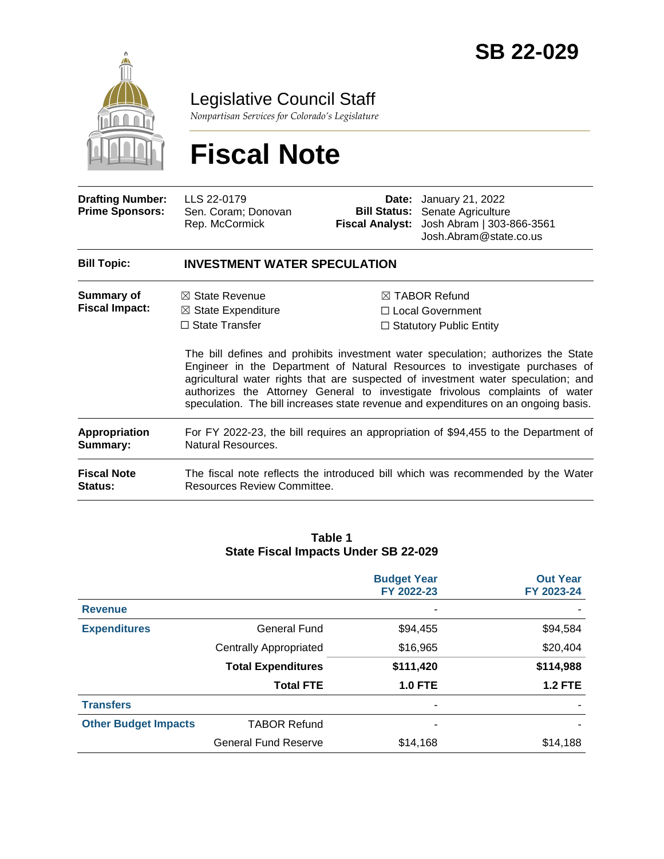

Legislative Council Staff

*Nonpartisan Services for Colorado's Legislature*

# **Fiscal Note**

| <b>Drafting Number:</b><br><b>Prime Sponsors:</b> | LLS 22-0179<br>Sen. Coram; Donovan<br>Rep. McCormick                                                                                                                                                                                                                                                                                                                                                                         |                                | <b>Date:</b> January 21, 2022<br><b>Bill Status:</b> Senate Agriculture<br>Fiscal Analyst: Josh Abram   303-866-3561<br>Josh.Abram@state.co.us |  |  |
|---------------------------------------------------|------------------------------------------------------------------------------------------------------------------------------------------------------------------------------------------------------------------------------------------------------------------------------------------------------------------------------------------------------------------------------------------------------------------------------|--------------------------------|------------------------------------------------------------------------------------------------------------------------------------------------|--|--|
| <b>Bill Topic:</b>                                | <b>INVESTMENT WATER SPECULATION</b>                                                                                                                                                                                                                                                                                                                                                                                          |                                |                                                                                                                                                |  |  |
| Summary of                                        | $\boxtimes$ State Revenue                                                                                                                                                                                                                                                                                                                                                                                                    |                                | $\boxtimes$ TABOR Refund                                                                                                                       |  |  |
| <b>Fiscal Impact:</b>                             | $\boxtimes$ State Expenditure                                                                                                                                                                                                                                                                                                                                                                                                |                                | $\Box$ Local Government                                                                                                                        |  |  |
|                                                   | $\Box$ State Transfer                                                                                                                                                                                                                                                                                                                                                                                                        | $\Box$ Statutory Public Entity |                                                                                                                                                |  |  |
|                                                   | The bill defines and prohibits investment water speculation; authorizes the State<br>Engineer in the Department of Natural Resources to investigate purchases of<br>agricultural water rights that are suspected of investment water speculation; and<br>authorizes the Attorney General to investigate frivolous complaints of water<br>speculation. The bill increases state revenue and expenditures on an ongoing basis. |                                |                                                                                                                                                |  |  |

| Appropriation | For FY 2022-23, the bill requires an appropriation of \$94,455 to the Department of |
|---------------|-------------------------------------------------------------------------------------|
| Summary:      | Natural Resources.                                                                  |
|               |                                                                                     |

| <b>Fiscal Note</b> | The fiscal note reflects the introduced bill which was recommended by the Water |
|--------------------|---------------------------------------------------------------------------------|
| Status:            | Resources Review Committee.                                                     |

#### **Table 1 State Fiscal Impacts Under SB 22-029**

|                             |                               | <b>Budget Year</b><br>FY 2022-23 | <b>Out Year</b><br>FY 2023-24 |
|-----------------------------|-------------------------------|----------------------------------|-------------------------------|
| <b>Revenue</b>              |                               | -                                |                               |
| <b>Expenditures</b>         | <b>General Fund</b>           | \$94,455                         | \$94,584                      |
|                             | <b>Centrally Appropriated</b> | \$16,965                         | \$20,404                      |
|                             | <b>Total Expenditures</b>     | \$111,420                        | \$114,988                     |
|                             | <b>Total FTE</b>              | <b>1.0 FTE</b>                   | <b>1.2 FTE</b>                |
| <b>Transfers</b>            |                               | -                                |                               |
| <b>Other Budget Impacts</b> | <b>TABOR Refund</b>           | ۰                                |                               |
|                             | <b>General Fund Reserve</b>   | \$14,168                         | \$14,188                      |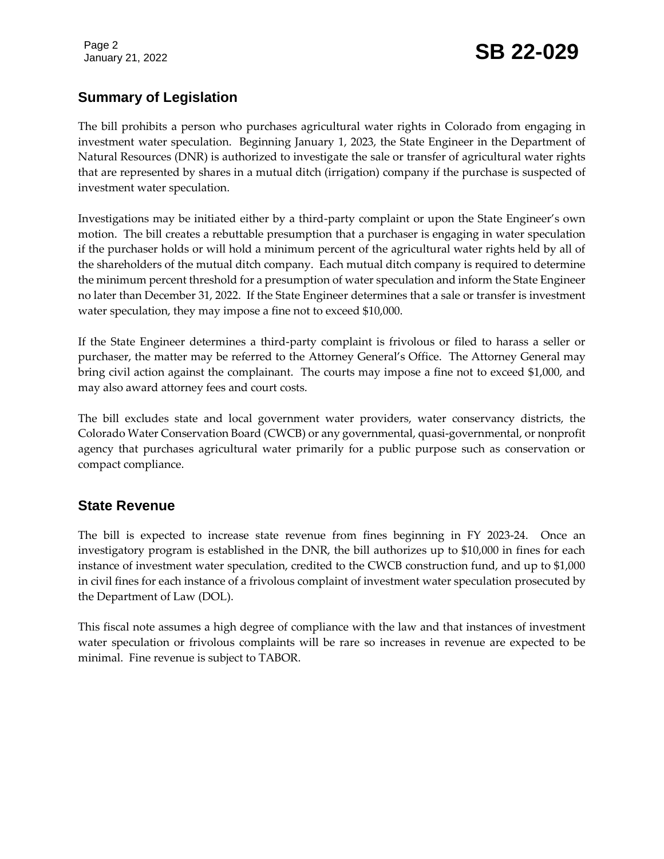Page 2

# January 21, 2022 **SB 22-029**

# **Summary of Legislation**

The bill prohibits a person who purchases agricultural water rights in Colorado from engaging in investment water speculation. Beginning January 1, 2023, the State Engineer in the Department of Natural Resources (DNR) is authorized to investigate the sale or transfer of agricultural water rights that are represented by shares in a mutual ditch (irrigation) company if the purchase is suspected of investment water speculation.

Investigations may be initiated either by a third-party complaint or upon the State Engineer's own motion. The bill creates a rebuttable presumption that a purchaser is engaging in water speculation if the purchaser holds or will hold a minimum percent of the agricultural water rights held by all of the shareholders of the mutual ditch company. Each mutual ditch company is required to determine the minimum percent threshold for a presumption of water speculation and inform the State Engineer no later than December 31, 2022. If the State Engineer determines that a sale or transfer is investment water speculation, they may impose a fine not to exceed \$10,000.

If the State Engineer determines a third-party complaint is frivolous or filed to harass a seller or purchaser, the matter may be referred to the Attorney General's Office. The Attorney General may bring civil action against the complainant. The courts may impose a fine not to exceed \$1,000, and may also award attorney fees and court costs.

The bill excludes state and local government water providers, water conservancy districts, the Colorado Water Conservation Board (CWCB) or any governmental, quasi-governmental, or nonprofit agency that purchases agricultural water primarily for a public purpose such as conservation or compact compliance.

# **State Revenue**

The bill is expected to increase state revenue from fines beginning in FY 2023-24. Once an investigatory program is established in the DNR, the bill authorizes up to \$10,000 in fines for each instance of investment water speculation, credited to the CWCB construction fund, and up to \$1,000 in civil fines for each instance of a frivolous complaint of investment water speculation prosecuted by the Department of Law (DOL).

This fiscal note assumes a high degree of compliance with the law and that instances of investment water speculation or frivolous complaints will be rare so increases in revenue are expected to be minimal. Fine revenue is subject to TABOR.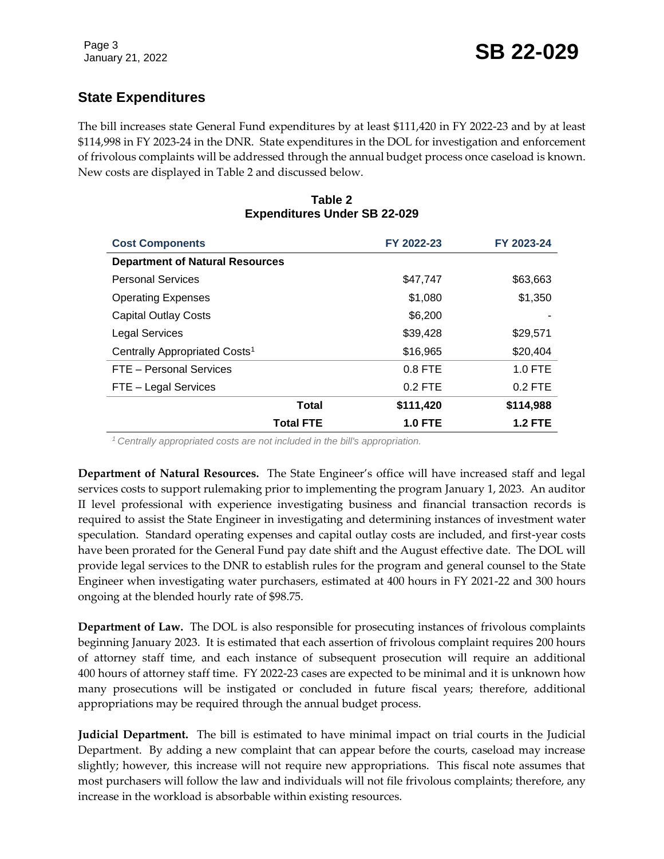# **State Expenditures**

The bill increases state General Fund expenditures by at least \$111,420 in FY 2022-23 and by at least \$114,998 in FY 2023-24 in the DNR. State expenditures in the DOL for investigation and enforcement of frivolous complaints will be addressed through the annual budget process once caseload is known. New costs are displayed in Table 2 and discussed below.

| <b>Cost Components</b>                    | FY 2022-23     | FY 2023-24 |
|-------------------------------------------|----------------|------------|
| <b>Department of Natural Resources</b>    |                |            |
| <b>Personal Services</b>                  | \$47,747       | \$63,663   |
| <b>Operating Expenses</b>                 | \$1,080        | \$1,350    |
| <b>Capital Outlay Costs</b>               | \$6,200        |            |
| <b>Legal Services</b>                     | \$39,428       | \$29.571   |
| Centrally Appropriated Costs <sup>1</sup> | \$16,965       | \$20,404   |
| FTE - Personal Services                   | $0.8$ FTE      | $1.0$ FTE  |
| FTE - Legal Services                      | $0.2$ FTE      | $0.2$ FTE  |
| <b>Total</b>                              | \$111,420      | \$114,988  |
| <b>Total FTE</b>                          | <b>1.0 FTE</b> | 1.2 FTE    |

#### **Table 2 Expenditures Under SB 22-029**

*<sup>1</sup>Centrally appropriated costs are not included in the bill's appropriation.*

**Department of Natural Resources.** The State Engineer's office will have increased staff and legal services costs to support rulemaking prior to implementing the program January 1, 2023. An auditor II level professional with experience investigating business and financial transaction records is required to assist the State Engineer in investigating and determining instances of investment water speculation. Standard operating expenses and capital outlay costs are included, and first-year costs have been prorated for the General Fund pay date shift and the August effective date. The DOL will provide legal services to the DNR to establish rules for the program and general counsel to the State Engineer when investigating water purchasers, estimated at 400 hours in FY 2021-22 and 300 hours ongoing at the blended hourly rate of \$98.75.

**Department of Law.** The DOL is also responsible for prosecuting instances of frivolous complaints beginning January 2023. It is estimated that each assertion of frivolous complaint requires 200 hours of attorney staff time, and each instance of subsequent prosecution will require an additional 400 hours of attorney staff time. FY 2022-23 cases are expected to be minimal and it is unknown how many prosecutions will be instigated or concluded in future fiscal years; therefore, additional appropriations may be required through the annual budget process.

**Judicial Department.** The bill is estimated to have minimal impact on trial courts in the Judicial Department. By adding a new complaint that can appear before the courts, caseload may increase slightly; however, this increase will not require new appropriations. This fiscal note assumes that most purchasers will follow the law and individuals will not file frivolous complaints; therefore, any increase in the workload is absorbable within existing resources.